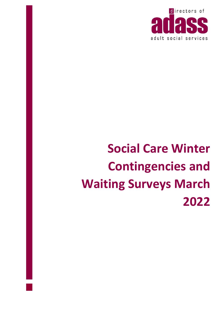

# **Social Care Winter Contingencies and Waiting Surveys March 2022**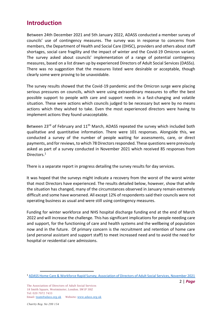# **Introduction**

Between 24th December 2021 and 5th January 2022, ADASS conducted a member survey of councils' use of contingency measures. The survey was in response to concerns from members, the Department of Health and Social Care (DHSC), providers and others about staff shortages, social care fragility and the impact of winter and the Covid-19 Omicron variant. The survey asked about councils' implementation of a range of potential contingency measures, based on a list drawn up by experienced Directors of Adult Social Services (DASSs). There was no suggestion that the measures listed were desirable or acceptable, though clearly some were proving to be unavoidable.

The survey results showed that the Covid-19 pandemic and the Omicron surge were placing serious pressures on councils, which were using extraordinary measures to offer the best possible support to people with care and support needs in a fast-changing and volatile situation. These were actions which councils judged to be necessary but were by no means actions which they wished to take. Even the most experienced directors were having to implement actions they found unacceptable.

Between 23<sup>rd</sup> of February and 11<sup>th</sup> March, ADASS repeated the survey which included both qualitative and quantitative information. There were 101 responses. Alongside this, we conducted a survey of the number of people waiting for assessments, care, or direct payments, and for reviews, to which 78 Directors responded. These questions were previously asked as part of a survey conducted in November 2021 which received 85 responses from Directors.<sup>1</sup>

There is a separate report in progress detailing the survey results for day services.

It was hoped that the surveys might indicate a recovery from the worst of the worst winter that most Directors have experienced. The results detailed below, however, show that while the situation has changed, many of the circumstances observed in January remain extremely difficult and some have worsened. All except 12% of respondents said their councils were not operating business as usual and were still using contingency measures.

Funding for winter workforce and NHS hospital discharge funding end at the end of March 2022 and will increase the challenge. This has significant implications for people needing care and support, for the functioning of care and health systems and the wellbeing of population now and in the future. Of primary concern is the recruitment and retention of home care (and personal assistant and support staff) to meet increased need and to avoid the need for hospital or residential care admissions.

<sup>1</sup> [ADASS Home Care & Workforce Rapid Survey, Association of Directors of Adult Social Services, November 2021](https://www.adass.org.uk/media/8987/adass-snap-survey-report-november-2021.pdf)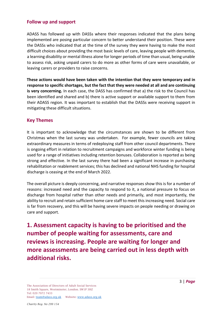#### **Follow up and support**

ADASS has followed up with DASSs where their responses indicated that the plans being implemented are posing particular concern to better understand their position. These were the DASSs who indicated that at the time of the survey they were having to make the most difficult choices about providing the most basic levels of care, leaving people with dementia, a learning disability or mental illness alone for longer periods of time than usual, being unable to assess risk, asking unpaid carers to do more as other forms of care were unavailable, or leaving carers or providers to raise concerns.

**These actions would have been taken with the intention that they were temporary and in response to specific shortages, but the fact that they were needed at all and are continuing is very concerning.** In each case, the DASS has confirmed that a) the risk to the Council has been identified and shared and b) there is active support or available support to them from their ADASS region. It was important to establish that the DASSs were receiving support in mitigating these difficult situations.

#### **Key Themes**

It is important to acknowledge that the circumstances are shown to be different from Christmas when the last survey was undertaken. For example, fewer councils are taking extraordinary measures in terms of redeploying staff from other council departments. There is ongoing effort in relation to recruitment campaigns and workforce winter funding is being used for a range of initiatives including retention bonuses. Collaboration is reported as being strong and effective. In the last survey there had been a significant increase in purchasing rehabilitation or reablement services; this has declined and national NHS funding for hospital discharge is ceasing at the end of March 2022.

The overall picture is deeply concerning, and narrative responses show this is for a number of reasons: increased need and the capacity to respond to it, a national pressure to focus on discharge from hospital rather than other needs and primarily, and most importantly, the ability to recruit and retain sufficient home care staff to meet this increasing need. Social care is far from recovery, and this will be having severe impacts on people needing or drawing on care and support.

**1. Assessment capacity is having to be prioritised and the number of people waiting for assessments, care and reviews is increasing. People are waiting for longer and more assessments are being carried out in less depth with additional risks.**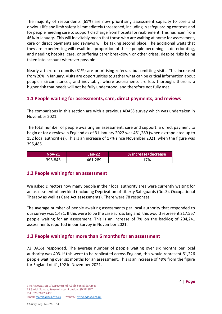The majority of respondents (61%) are now prioritising assessment capacity to core and obviouslife and limb safety is immediately threatened, including in safeguarding contexts and for people needing care to support discharge from hospital or reablement. This has risen from 46% in January. This will inevitably mean that those who are waiting at home for assessment, care or direct payments and reviews will be taking second place. The additional waits that they are experiencing will result in a proportion of these people becoming ill, deteriorating, and needing hospital care, or suffering carer breakdown or other crises, despite risks being taken into account wherever possible.

Nearly a third of councils (31%) are prioritising referrals but omitting visits. This increased from 20% in January. Visits are opportunities to gather what can be critical information about people's circumstances, and inevitably, where assessments are less thorough, there is a higher risk that needs will not be fully understood, and therefore not fully met.

### **1.1 People waiting for assessments, care, direct payments, and reviews**

The comparisons in this section are with a previous ADASS survey which was undertaken in November 2021.

The total number of people awaiting an assessment, care and support, a direct payment to begin or for a review in England as of 31 January 2022 was 461,289 (when extrapolated up to 152 local authorities). This is an increase of 17% since November 2021, when the figure was 395,485.

| Nov-21  | Jan-22  | % increase/decrease |
|---------|---------|---------------------|
| 395,845 | 461,289 | 17%                 |

### **1.2 People waiting for an assessment**

We asked Directors how many people in their local authority area were currently waiting for an assessment of any kind (including Deprivation of Liberty Safeguards (DoLS), Occupational Therapy as well as Care Act assessments). There were 78 responses.

The average number of people awaiting assessments per local authority that responded to our survey was 1,431. If this were to be the case across England, this would represent 217,557 people waiting for an assessment. This is an increase of 7% on the backlog of 204,241 assessments reported in our Survey in November 2021.

## **1.3 People waiting for more than 6 months for an assessment**

72 DASSs responded. The average number of people waiting over six months per local authority was 403. If this were to be replicated across England, this would represent 61,226 people waiting over six months for an assessment. This is an increase of 49% from the figure for England of 41,192 in November 2021.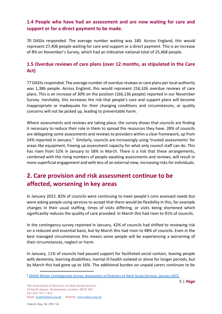## **1.4 People who have had an assessment and are now waiting for care and support or for a direct payment to be made.**

70 DASSs responded. The average number waiting was 180. Across England, this would represent 27,406 people waiting for care and support or a direct payment. This is an increase of 8% on November's Survey, which had an indicative national total of 25,468 people.

## **1.5 Overdue reviews of care plans (over 12 months, as stipulated in the Care Act)**

77 DASSs responded. The average number of overdue reviews or care plans per local authority was 1,386 people. Across England, this would represent 216,326 overdue reviews of care plans. This is an increase of 30% on the position (166,136 people) reported in our November Survey. Inevitably, this increases the risk that people's care and support plans will become inappropriate or inadequate for their changing conditions and circumstances, or quality concerns will not be picked up, leading to preventable harm.

Where assessments and reviews are taking place, the survey shows that councils are finding it necessary to reduce their role in them to spread the resources they have. 28% of councils are delegating some assessments and reviews to providers within a clear framework, up from 24% reported in January.<sup>2</sup> Similarly, councils are increasingly using 'trusted assessments' for areas like equipment, freeing up assessment capacity for what only council staff can do. This has risen from 52% in January to 58% in March. There is a risk that these arrangements, combined with the rising numbers of people awaiting assessments and reviews, will result in more superficial engagement and with less of an external view, increasing risks for individuals.

# **2. Care provision and risk assessment continue to be affected, worsening in key areas**

In January 2022, 82% of councils were continuing to meet people's core assessed needs but were asking people using services to accept that there would be flexibility in this, for example changes in their usual staffing, times of visits differing, or visits being shortened which significantly reduces the quality of care provided. In March this had risen to 91% of councils.

In the contingency survey reported in January, 42% of councils had shifted to reviewing risk on a reduced and essential basis, but by March this had risen to 48% of councils. Even in the best managed circumstances this means some people will be experiencing a worsening of their circumstances, neglect or harm.

In January, 11% of councils had paused support for facilitated social contact, leaving people with dementia, learning disabilities, mental ill health isolated or alone for longer periods, but by March this had gone up to 16%. The additional burden on unpaid carers continues to be

<sup>2</sup> [ADASS Winter Contingencies Survey, Association of Directors of Adult Social Services, January 2022.](https://www.adass.org.uk/media/9078/contingency-survey-20122.pdf)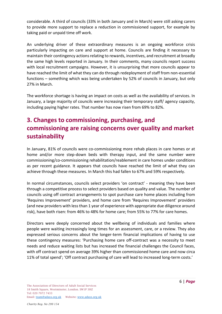considerable. A third of councils (33% in both January and in March) were still asking carers to provide more support to replace a reduction in commissioned support, for example by taking paid or unpaid time off work.

An underlying driver of these extraordinary measures is an ongoing workforce crisis particularly impacting on care and support at home. Councils are finding it necessary to maintain their contingency actions relating to rewards, incentives, and recruitment at broadly the same high levels reported in January. In their comments, many councils report success with local recruitment campaigns. However, it is unsurprising that more councils appear to have reached the limit of what they can do through redeployment of staff from non-essential functions – something which was being undertaken by 52% of councils in January, but only 27% in March.

The workforce shortage is having an impact on costs as well as the availability of services. In January, a large majority of councils were increasing their temporary staff/ agency capacity, including paying higher rates. That number has now risen from 69% to 82%.

# **3. Changes to commissioning, purchasing, and commissioning are raising concerns over quality and market sustainability**

In January, 81% of councils were co-commissioning more rehab places in care homes or at home and/or more step-down beds with therapy input, and the same number were commissioning/co-commissioning rehabilitation/reablement in care homes under conditions as per recent guidance. It appears that councils have reached the limit of what they can achieve through these measures. In March this had fallen to 67% and 59% respectively.

In normal circumstances, councils select providers 'on contract' - meaning they have been through a competitive process to select providers based on quality and value. The number of councils using off contract arrangements to spot purchase care home places including from 'Requires Improvement' providers, and home care from 'Requires Improvement' providers (and new providers with less than 1 year of experience with appropriate due diligence around risk), have both risen: from 46% to 48% for home care; from 55% to 77% for care homes.

Directors were deeply concerned about the wellbeing of individuals and families where people were waiting increasingly long times for an assessment, care, or a review. They also expressed serious concerns about the longer-term financial implications of having to use these contingency measures: 'Purchasing home care off-contract was a necessity to meet needs and reduce waiting lists but has increased the financial challenges the Council faces, with off contract spend on average 39% higher than commissioned home care and now circa 11% of total spend'; 'Off contract purchasing of care will lead to increased long-term costs.'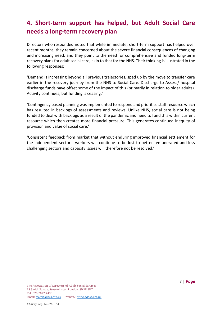# **4. Short-term support has helped, but Adult Social Care needs a long-term recovery plan**

Directors who responded noted that while immediate, short-term support has helped over recent months, they remain concerned about the severe financial consequences of changing and increasing need, and they point to the need for comprehensive and funded long-term recovery plans for adult social care, akin to that for the NHS. Their thinking is illustrated in the following responses:

'Demand is increasing beyond all previous trajectories, sped up by the move to transfer care earlier in the recovery journey from the NHS to Social Care. Discharge to Assess/ hospital discharge funds have offset some of the impact of this (primarily in relation to older adults). Activity continues, but funding is ceasing.'

'Contingency based planning was implemented to respond and prioritise staff resource which has resulted in backlogs of assessments and reviews. Unlike NHS, social care is not being funded to deal with backlogs as a result of the pandemic and need to fund this within current resource which then creates more financial pressure. This generates continued inequity of provision and value of social care.'

'Consistent feedback from market that without enduring improved financial settlement for the independent sector… workers will continue to be lost to better remunerated and less challenging sectors and capacity issues will therefore not be resolved.'